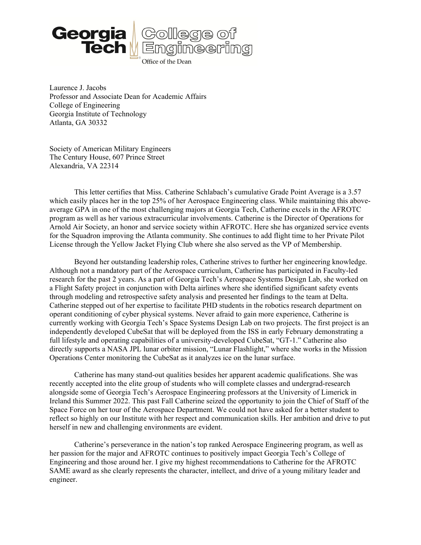

Laurence J. Jacobs Professor and Associate Dean for Academic Affairs College of Engineering Georgia Institute of Technology Atlanta, GA 30332

Society of American Military Engineers The Century House, 607 Prince Street Alexandria, VA 22314

 This letter certifies that Miss. Catherine Schlabach's cumulative Grade Point Average is a 3.57 which easily places her in the top 25% of her Aerospace Engineering class. While maintaining this aboveaverage GPA in one of the most challenging majors at Georgia Tech, Catherine excels in the AFROTC program as well as her various extracurricular involvements. Catherine is the Director of Operations for Arnold Air Society, an honor and service society within AFROTC. Here she has organized service events for the Squadron improving the Atlanta community. She continues to add flight time to her Private Pilot License through the Yellow Jacket Flying Club where she also served as the VP of Membership.

Beyond her outstanding leadership roles, Catherine strives to further her engineering knowledge. Although not a mandatory part of the Aerospace curriculum, Catherine has participated in Faculty-led research for the past 2 years. As a part of Georgia Tech's Aerospace Systems Design Lab, she worked on a Flight Safety project in conjunction with Delta airlines where she identified significant safety events through modeling and retrospective safety analysis and presented her findings to the team at Delta. Catherine stepped out of her expertise to facilitate PHD students in the robotics research department on operant conditioning of cyber physical systems. Never afraid to gain more experience, Catherine is currently working with Georgia Tech's Space Systems Design Lab on two projects. The first project is an independently developed CubeSat that will be deployed from the ISS in early February demonstrating a full lifestyle and operating capabilities of a university-developed CubeSat, "GT-1." Catherine also directly supports a NASA JPL lunar orbiter mission, "Lunar Flashlight," where she works in the Mission Operations Center monitoring the CubeSat as it analyzes ice on the lunar surface.

Catherine has many stand-out qualities besides her apparent academic qualifications. She was recently accepted into the elite group of students who will complete classes and undergrad-research alongside some of Georgia Tech's Aerospace Engineering professors at the University of Limerick in Ireland this Summer 2022. This past Fall Catherine seized the opportunity to join the Chief of Staff of the Space Force on her tour of the Aerospace Department. We could not have asked for a better student to reflect so highly on our Institute with her respect and communication skills. Her ambition and drive to put herself in new and challenging environments are evident.

Catherine's perseverance in the nation's top ranked Aerospace Engineering program, as well as her passion for the major and AFROTC continues to positively impact Georgia Tech's College of Engineering and those around her. I give my highest recommendations to Catherine for the AFROTC SAME award as she clearly represents the character, intellect, and drive of a young military leader and engineer.